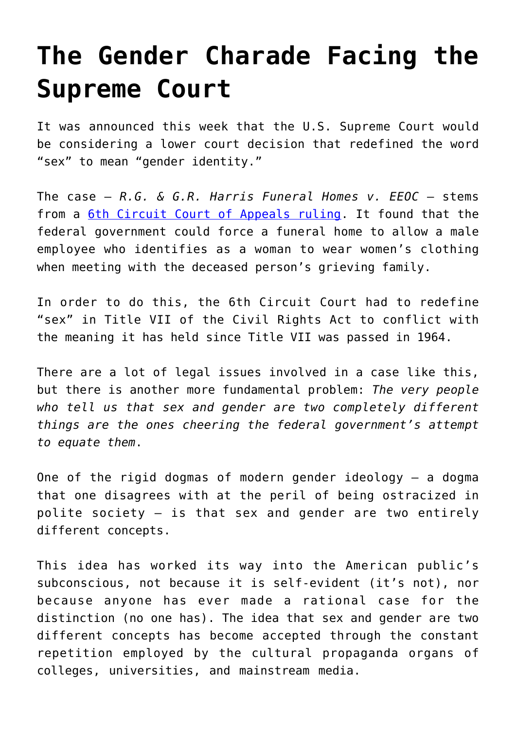## **[The Gender Charade Facing the](https://intellectualtakeout.org/2019/04/the-gender-charade-facing-the-supreme-court/) [Supreme Court](https://intellectualtakeout.org/2019/04/the-gender-charade-facing-the-supreme-court/)**

It was announced this week that the U.S. Supreme Court would be considering a lower court decision that redefined the word "sex" to mean "gender identity."

The case — *R.G. & G.R. Harris Funeral Homes v. EEOC* — stems from a [6th Circuit Court of Appeals ruling.](https://scholar.google.com/scholar_case?case=11341739590762191378&q=r.g.+%26+g.r.+harris+funeral+homes+v.+eeoc&hl=en&as_sdt=6,24&as_vis=1) It found that the federal government could force a funeral home to allow a male employee who identifies as a woman to wear women's clothing when meeting with the deceased person's grieving family.

In order to do this, the 6th Circuit Court had to redefine "sex" in Title VII of the Civil Rights Act to conflict with the meaning it has held since Title VII was passed in 1964.

There are a lot of legal issues involved in a case like this, but there is another more fundamental problem: *The very people who tell us that sex and gender are two completely different things are the ones cheering the federal government's attempt to equate them*.

One of the rigid dogmas of modern gender ideology — a dogma that one disagrees with at the peril of being ostracized in polite society — is that sex and gender are two entirely different concepts.

This idea has worked its way into the American public's subconscious, not because it is self-evident (it's not), nor because anyone has ever made a rational case for the distinction (no one has). The idea that sex and gender are two different concepts has become accepted through the constant repetition employed by the cultural propaganda organs of colleges, universities, and mainstream media.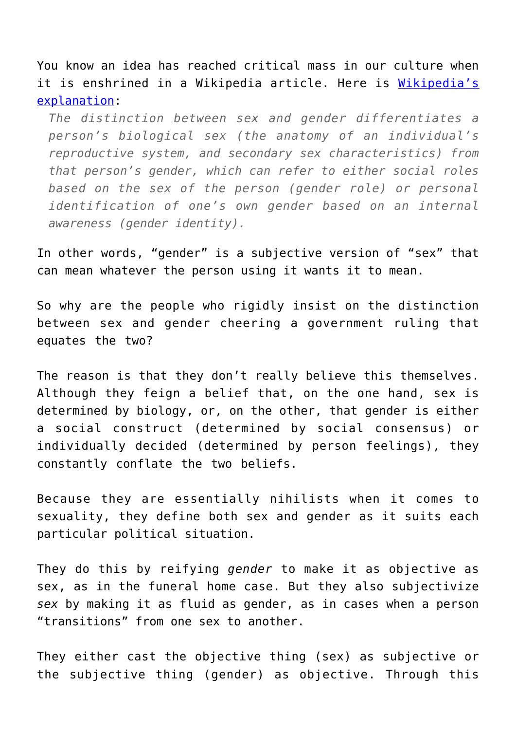You know an idea has reached critical mass in our culture when it is enshrined in a Wikipedia article. Here is [Wikipedia's](https://en.wikipedia.org/wiki/Sex_and_gender_distinction) [explanation:](https://en.wikipedia.org/wiki/Sex_and_gender_distinction)

*The distinction between sex and gender differentiates a person's biological sex (the anatomy of an individual's reproductive system, and secondary sex characteristics) from that person's gender, which can refer to either social roles based on the sex of the person (gender role) or personal identification of one's own gender based on an internal awareness (gender identity).*

In other words, "gender" is a subjective version of "sex" that can mean whatever the person using it wants it to mean.

So why are the people who rigidly insist on the distinction between sex and gender cheering a government ruling that equates the two?

The reason is that they don't really believe this themselves. Although they feign a belief that, on the one hand, sex is determined by biology, or, on the other, that gender is either a social construct (determined by social consensus) or individually decided (determined by person feelings), they constantly conflate the two beliefs.

Because they are essentially nihilists when it comes to sexuality, they define both sex and gender as it suits each particular political situation.

They do this by reifying *gender* to make it as objective as sex, as in the funeral home case. But they also subjectivize *sex* by making it as fluid as gender, as in cases when a person "transitions" from one sex to another.

They either cast the objective thing (sex) as subjective or the subjective thing (gender) as objective. Through this